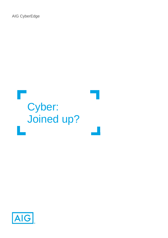AIG CyberEdge



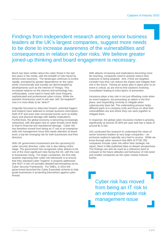Findings from independent research among senior business leaders at the UK's largest companies, suggest more needs to be done to increase awareness of the vulnerabilities and consequences in relation to cyber risks. We believe greater joined-up thinking and board engagement is necessary.

Much has been written about the cyber threat in the last few years in the media, with the breadth of risks faced by almost every business. The landscape continues to evolve rapidly, prompted by greater dependence on the cyber world, economically and socially (as demonstrated by developments such as the Internet of Things). This increased reliance on the internet and technology has, unfortunately, come hand in hand with more frequent, sophisticated and professional cyber-crimes. While the question businesses used to ask was 'will I be targeted?', now it is more likely to be 'when?'

Originally focussed on data loss/ breach, potential triggers and impacts have widened to include business interruption, theft of IP and even inter-connected events such as bodily injury and physical damage with liability implications. Furthermore, the global economy is becoming increasingly networked, with disruption due to cyber threats more likely to lead to financial and reputational damage. Cyber risk has therefore moved from being an IT risk to an enterprisewide risk management issue that needs attention at board level; a top-tier emerging risk for both businesses and their directors.

With UK government involvement and the upcoming EU cyber security directive, cyber risk is also taking centre stage. The government has recognised cyber attacks to be one of the most significant risks facing the UK, with the cost to businesses rising. For larger companies, the first step towards improving their cyber risk framework is to ensure that their standard cyber 'hygiene' is properly addressed (the NIST in the US provides detailed benchmarking via its Cyber Security Framework). For SMEs, in 2014 the government launched the Cyber Essentials scheme to help guide businesses in protecting themselves against cyber threats.

With attacks increasing and implications becoming more far-reaching, companies need to actively reduce their exposure to being targeted. And, if they are targeted, consider how they can reduce the impact and mitigate their risk in the future. Having an action plan in place prior to an event is critical, as are end-to-end solutions involving consultation leading to extra layers of prevention.

Insurance plays a key role in not just offsetting costs when an event happens, but preventing an attack in the first place, and responding correctly to mitigate when cybersecurity does fail. The underwriting process helps different parts of a company unify and focus on what their vulnerabilities are and where they can work together to mitigate them.

In response, the global cyber insurance market is growing significantly at around 25-30% per year and has a value of around \$1.5-2bn.

AIG conducted this research to understand the views of senior business leaders at very large companies – an exclusive audience typically very hard to access. While we know through other research that 88% of FTSE 350 companies include cyber risk within their strategic risk report, there is little published data on deeper perspectives. The findings can also be used as a reference point to compare to the future attitudes and behaviour of mid-sized and smaller companies as the cyber market matures further.

Cyber risk has moved from being an IT risk to an enterprise-wide risk management issue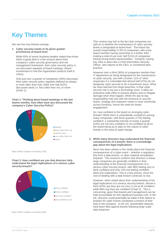# Key Themes

We see four key themes emerge.

### **1. Cyber security needs to be given greater prominence at board level**

While 82% of senior business leaders stated they know either a great deal or a fair amount about their company's cyber security governance and risk management framework, their cyber security policy is not discussed regularly at board meetings. Board involvement in how the organisation protects itself is critical.

Only just over a quarter of companies (26%) discussed their cyber security policy regularly (defined as always or more often than not), while over half (52%) discussed rarely i.e. less often than not, or never (Chart 1).

### **Chart 1: Thinking about board meetings in the last twelve months, how often have you discussed the company's Cyber Security Policy?**



Base: British Captains of Industry [108]

### **Chart 2: How confident are you that directors fully understand the legal implications of a serious cyber security breach?**



Not confident at all

Base: British Captains of Industry [108]

This context may link to the fact that companies are split as to whether the maintenance of cyber security levels is designated at board level. The board has overall responsibility in 9% of companies, with a key board member having ownership in a further 43% making a total of just over half (51%) of companies having strong board representation. Certainly, having key roles in place like a Chief Information Security Officer, who reports to the CEO, is considered best practice.

However over a third (36%) of companies mention their IT department as being designated for the maintenance of cyber security, and with a further 11% of 'other' responses it is noticeable that almost half (47%) do not designate cyber security to be a boardroom issue. What we have learned from large breaches, is that cyber security risk is not just a technology issue. It takes an enterprise-wide effort to prevent attacks and to mitigate damage when they happen. While the day-to-day responsibility may rest with the technical or security teams, strategy and response needs to have ownership across functions, hence the need for board engagement.

So, how confident is the board on emerging cyber threats? While there is undoubtedly confidence among many companies, with three quarters (77%) feeling confident, a substantial minority of nearly a quarter (23%) are not very confident or not confident at all on the board being up to date on the nature of cyber threats in this area of rapid change.

### **2. While many directors may understand the financial consequences of a breach, there is a knowledge gap about the legal implications**

Much has been written in the media about the financial consequences of a cyber event – whether a regulatory fine from a data breach, or other material remediation required. This research confirms that directors in these large companies are generally confident in their understanding of the financial consequences of a serious cyber security breach, with 86% feeling very or fairly confident and only 13% not feeling confident about the implications. This is a key priority, since the cost of dealing with a data breach continues to rise.

However, when asked about their understanding of the legal implications of a serious security breach, almost a third (32%) say they are not very or not at all confident, while 68% say they are confident (Chart 2). This is concerning, given that boards and management can be held accountable for this significant business risk. In the UK, directors could potentially be liable if their failure to prepare for cyber events constitutes a breach of their duty to the company. In the US, shareholder lawsuits have been filed against boards following large scale data breaches.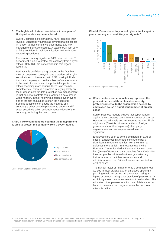### **3. The high level of stated confidence in companies' IT departments may be misplaced**

Overall, companies feel that they have identified their levels of vulnerability across all key information assets in relation to their company's governance and risk management of cyber security. A total of 90% feel very or fairly confident in their identification, with only 10% not feeling confident.

Furthermore, a very significant 84% think that their IT department is able to protect the company from a cyber attack. Only 16% are not confident in this regard (Chart 3).

Perhaps this confidence is grounded in the fact that 45% of companies surveyed have experienced a cyber security breach. However, with 62% thinking it likely that their company will be the subject of a cyber attack in the next 12 months and the potential impacts of an attack becoming more serious, there is no room for complacency. There is a problem in relying solely on the IT department for data protection risk management in that no set of controls can guarantee a data breach won't happen. In fact, following a serious cyber event, one of the first casualties is often the head of IT. Specific questions can gauge the maturity of a company's cyber security program, to understand if cyber security is taken seriously at every level of the company, including the board room.

### **Chart 3: How confident are you that the IT department is able to protect the company from a cyber-attack?**



Base: British Captains of Industry [108]

**Chart 4: From where do you feel cyber attacks against your company are most likely to originate?**



Base: British Captains of Industry [108]

**4. While hackers and criminals may represent the greatest perceived threat to cyber security, problems internal to the organisation caused by employees cause a significant number of breach cases**

Senior business leaders believe that cyber attacks against their company come from a number of sources. Hackers and criminals and are seen as the most likely originators (Chart 4). However activists, foreign governments (or their agencies), third party organisations and employees are all seen as significant.

Employees are seen to be the originators in 31% of cases. Employees have (and continue to be) a significant threat to companies, with their internal defences more at risk. In a recent study by the European Centre for Media, Data and Society<sup>1</sup>, over half (56%) of European data breaches from 2005-2014 involved problems internal to the organisation e.g. insider abuse or theft, hardware issues and administrative errors. Criminal hackers accounted for 42% of cases.

The human factor or human error is a common thread we see in most attacks e.g. an employee opening a phishing email, accessing risky websites, losing a laptop or demonstrating lax protection of passwords. Or exhibiting a less than robust reaction to an incident. The education of employees as a first line of defence or, at least, to be aware that they can open the door to an attack, is critical.

1. Data Breaches in Europe: Reported Breaches of Compromised Personal Records in Europe, 2005-2014 – Center for Media, Data and Society, 2014: [http://cmds.ceu.edu/article/2014-10-07/data-breaches-europe-reported-breaches-compromised-personal-records-europe-2005.](http://cmds.ceu.edu/article/2014-10-07/data-breaches-europe-reported-breaches-compromised-personal-records-europe-2005)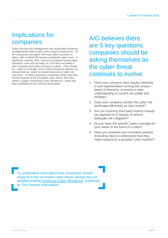## Implications for companies

Cyber security risk management and associated insurance arrangements need to take centre stage at board level. Of the companies surveyed, 44% had cyber insurance in place, with a further 8% having considered cyber cover. A significant minority, 18%, had not considered having cyber insurance cover and as many as 31% were not aware if their company had cyber insurance in place. They should be. Gaps in coverage, from existing insurance policies not being joined up, mean increased exposure to cyber risk and more. To help companies understand about how they should respond to the increased cyber threat, AIG have written a paper ('Achieving Cyber Resilience'), which has been published by the Geneva Association.

AIG believes there are 5 key questions companies should be asking themselves as the cyber threat continues to evolve.

- 1. Does your company have regular reporting to and representation among the Group's board of Directors, to ensure a clear understanding of current risk profile and strategy?
- 2. Does your company monitor the cyber risk landscape effectively as risks evolve?
- 3. Are you involving third party experts enough (as opposed to in house), to ensure adequate risk mitigation?
- 4. Do you have the specific Cyber coverage for your needs in the event of a claim?
- 5. Have you reviewed your insurance policies (including D&O) to understand how they might respond to a possible Cyber incident?

To understand more about how companies should respond to the increased cyber threat, please see our detailed briefing [Achieving Cyber Resilience,](http://www.aig.com/chartisint/internet/US/en/files/1158Y%20Achieving%20Cyber%20Resilience_Cyber%20whitepaper_tcm1247-672249.pdf) published by The Geneva Association.